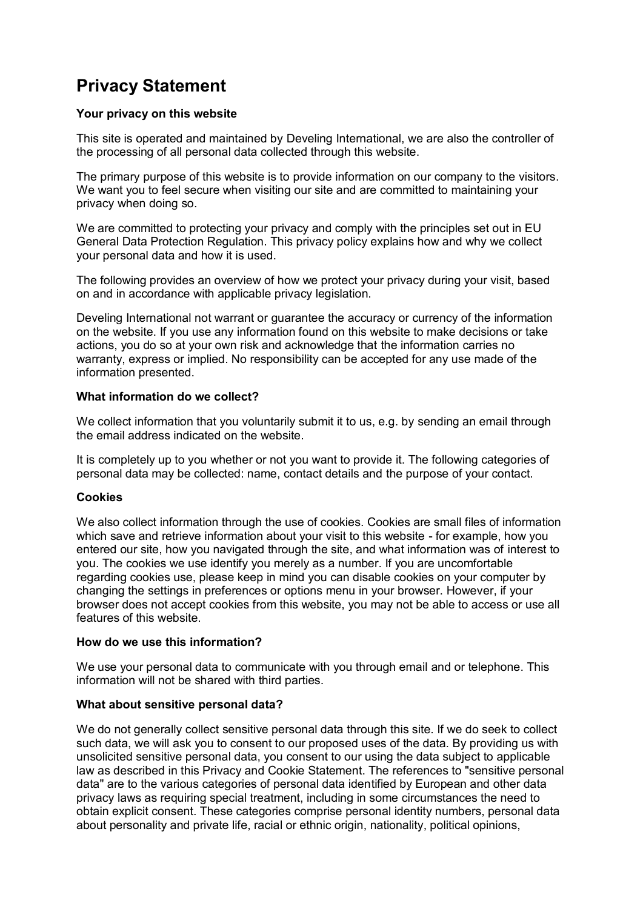# **Privacy Statement**

# **Your privacy on this website**

This site is operated and maintained by Develing International, we are also the controller of the processing of all personal data collected through this website.

The primary purpose of this website is to provide information on our company to the visitors. We want you to feel secure when visiting our site and are committed to maintaining your privacy when doing so.

We are committed to protecting your privacy and comply with the principles set out in EU General Data Protection Regulation. This privacy policy explains how and why we collect your personal data and how it is used.

The following provides an overview of how we protect your privacy during your visit, based on and in accordance with applicable privacy legislation.

Develing International not warrant or guarantee the accuracy or currency of the information on the website. If you use any information found on this website to make decisions or take actions, you do so at your own risk and acknowledge that the information carries no warranty, express or implied. No responsibility can be accepted for any use made of the information presented.

# **What information do we collect?**

We collect information that you voluntarily submit it to us, e.g. by sending an email through the email address indicated on the website.

It is completely up to you whether or not you want to provide it. The following categories of personal data may be collected: name, contact details and the purpose of your contact.

# **Cookies**

We also collect information through the use of cookies. Cookies are small files of information which save and retrieve information about your visit to this website - for example, how you entered our site, how you navigated through the site, and what information was of interest to you. The cookies we use identify you merely as a number. If you are uncomfortable regarding cookies use, please keep in mind you can disable cookies on your computer by changing the settings in preferences or options menu in your browser. However, if your browser does not accept cookies from this website, you may not be able to access or use all features of this website.

# **How do we use this information?**

We use your personal data to communicate with you through email and or telephone. This information will not be shared with third parties.

# **What about sensitive personal data?**

We do not generally collect sensitive personal data through this site. If we do seek to collect such data, we will ask you to consent to our proposed uses of the data. By providing us with unsolicited sensitive personal data, you consent to our using the data subject to applicable law as described in this Privacy and Cookie Statement. The references to "sensitive personal data" are to the various categories of personal data identified by European and other data privacy laws as requiring special treatment, including in some circumstances the need to obtain explicit consent. These categories comprise personal identity numbers, personal data about personality and private life, racial or ethnic origin, nationality, political opinions,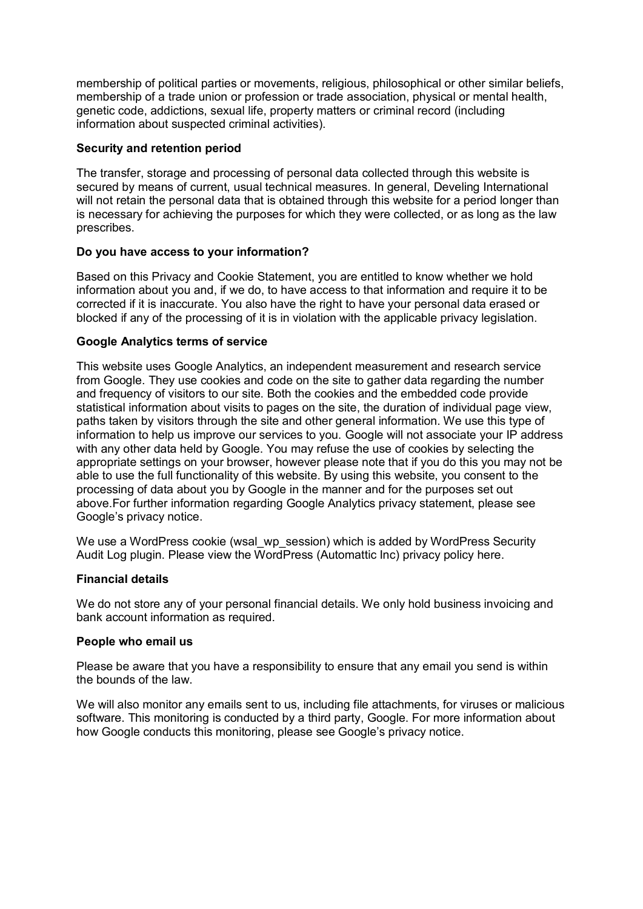membership of political parties or movements, religious, philosophical or other similar beliefs, membership of a trade union or profession or trade association, physical or mental health, genetic code, addictions, sexual life, property matters or criminal record (including information about suspected criminal activities).

# **Security and retention period**

The transfer, storage and processing of personal data collected through this website is secured by means of current, usual technical measures. In general, Develing International will not retain the personal data that is obtained through this website for a period longer than is necessary for achieving the purposes for which they were collected, or as long as the law prescribes.

# **Do you have access to your information?**

Based on this Privacy and Cookie Statement, you are entitled to know whether we hold information about you and, if we do, to have access to that information and require it to be corrected if it is inaccurate. You also have the right to have your personal data erased or blocked if any of the processing of it is in violation with the applicable privacy legislation.

# **Google Analytics terms of service**

This website uses Google Analytics, an independent measurement and research service from Google. They use cookies and code on the site to gather data regarding the number and frequency of visitors to our site. Both the cookies and the embedded code provide statistical information about visits to pages on the site, the duration of individual page view, paths taken by visitors through the site and other general information. We use this type of information to help us improve our services to you. Google will not associate your IP address with any other data held by Google. You may refuse the use of cookies by selecting the appropriate settings on your browser, however please note that if you do this you may not be able to use the full functionality of this website. By using this website, you consent to the processing of data about you by Google in the manner and for the purposes set out above.For further information regarding Google Analytics privacy statement, please see Google's privacy notice.

We use a WordPress cookie (wsal\_wp\_session) which is added by WordPress Security Audit Log plugin. Please view the WordPress (Automattic Inc) privacy policy here.

# **Financial details**

We do not store any of your personal financial details. We only hold business invoicing and bank account information as required.

# **People who email us**

Please be aware that you have a responsibility to ensure that any email you send is within the bounds of the law.

We will also monitor any emails sent to us, including file attachments, for viruses or malicious software. This monitoring is conducted by a third party, Google. For more information about how Google conducts this monitoring, please see Google's privacy notice.